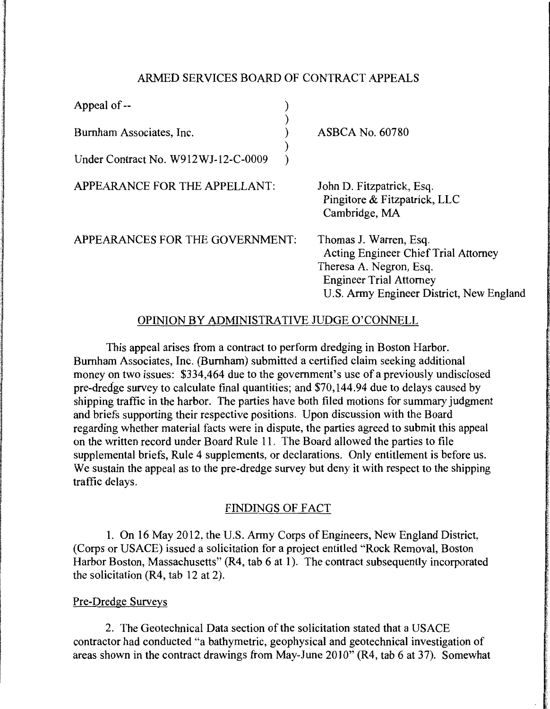# ARMED SERVICES BOARD OF CONTRACT APPEALS

| Appeal of --                        |  |
|-------------------------------------|--|
| Burnham Associates, Inc.            |  |
| Under Contract No. W912WJ-12-C-0009 |  |

ASBCA No. 60780

APPEARANCE FOR THE APPELLANT:

John D. Fitzpatrick, Esq. Pingitore & Fitzpatrick, LLC Cambridge, MA

APPEARANCES FOR THE GOVERNMENT:

Thomas J. Warren, Esq. Acting Engineer Chief Trial Attorney Theresa A. Negron, Esq. Engineer Trial Attorney U.S. Army Engineer District, New England

# OPINION BY ADMINISTRATIVE JUDGE O'CONNELL

This appeal arises from a contract to perform dredging in Boston Harbor. Burnham Associates, Inc. (Burnham) submitted a certified claim seeking additional money on two issues: \$334,464 due to the government's use of a previously undisclosed pre-dredge survey to calculate final quantities; and \$70,144.94 due to delays caused by shipping traffic in the harbor. The parties have both filed motions for summary judgment and briefs supporting their respective positions. Upon discussion with the Board regarding whether material facts were in dispute, the parties agreed to submit this appeal on the written record under Board Rule 11. The Board allowed the parties to file supplemental briefs, Rule 4 supplements, or declarations. Only entitlement is before us. We sustain the appeal as to the pre-dredge survey but deny it with respect to the shipping traffic delays.

## FINDINGS OF FACT

1. On 16 May 2012, the U.S. Army Corps of Engineers, New England District, (Corps or USACE) issued a solicitation for a project entitled "Rock Removal, Boston Harbor Boston, Massachusetts" (R4, tab 6 at 1). The contract subsequently incorporated the solicitation (R4, tab 12 at 2).

## Pre-Dredge Surveys

2. The Geotechnical Data section of the solicitation stated that a USACE contractor had conducted "a bathymetric, geophysical and geotechnical investigation of areas shown in the contract drawings from May-June 2010" (R4, tab 6 at 37). Somewhat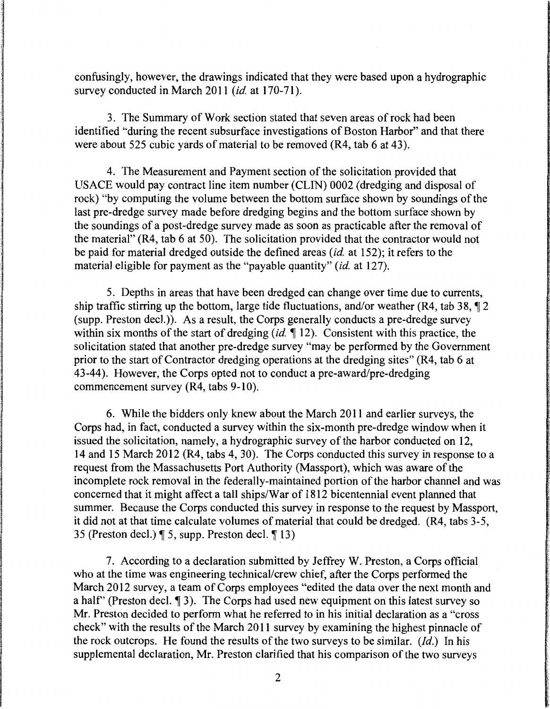confusingly, however, the drawings indicated that they were based upon a hydrographic survey conducted in March 2011 *(id. at 170-71)*.

3. The Summary of Work section stated that seven areas of rock had been identified "during the recent subsurface investigations of Boston Harbor" and that there were about 525 cubic yards of material to be removed (R4, tab 6 at 43).

4. The Measurement and Payment section of the solicitation provided that USACE would pay contract line item number (CLIN) 0002 (dredging and disposal of rock) "by computing the volume between the bottom surface shown by soundings of the last pre-dredge survey made before dredging begins and the bottom surface shown by the soundings of a post-dredge survey made as soon as practicable after the removal of the material" (R4, tab 6 at 50). The solicitation provided that the contractor would not be paid for material dredged outside the defined areas *(id.* at 152); it refers to the material eligible for payment as the "payable quantity" *(id.* at 127).

5. Depths in areas that have been dredged can change over time due to currents, ship traffic stirring up the bottom, large tide fluctuations, and/or weather (R4, tab 38,  $\sqrt{2}$ ) (supp. Preston decl.)). As a result, the Corps generally conducts a pre-dredge survey within six months of the start of dredging *(id.* 12). Consistent with this practice, the solicitation stated that another pre-dredge survey "may be performed by the Government prior to the start of Contractor dredging operations at the dredging sites" (R4, tab 6 at 43-44). However, the Corps opted not to conduct a pre-award/pre-dredging commencement survey (R4, tabs 9-10).

6. While the bidders only knew about the March 2011 and earlier surveys, the Corps had, in fact, conducted a survey within the six-month pre-dredge window when it issued the solicitation, namely, a hydrographic survey of the harbor conducted on 12, 14 and 15 March 2012 (R4, tabs 4, 30). The Corps conducted this survey in response to a request from the Massachusetts Port Authority (Massport), which was aware of the incomplete rock removal in the federally-maintained portion of the harbor channel and was concerned that it might affect a tall ships/War of 1812 bicentennial event planned that summer. Because the Corps conducted this survey in response to the request by Massport, it did not at that time calculate volumes of material that could be dredged. (R4, tabs 3-5, 35 (Preston decl.)  $\parallel$  5, supp. Preston decl.  $\parallel$  13)

7. According to a declaration submitted by Jeffrey W. Preston, a Corps official who at the time was engineering technical/crew chief, after the Corps performed the March 2012 survey, a team of Corps employees "edited the data over the next month and a half" (Preston decl.  $\llbracket 3 \rrbracket$ ). The Corps had used new equipment on this latest survey so Mr. Preston decided to perform what he referred to in his initial declaration as a "cross check" with the results of the March 2011 survey by examining the highest pinnacle of the rock outcrops. He found the results of the two surveys to be similar. *(Id.)* In his supplemental declaration, Mr. Preston clarified that his comparison of the two surveys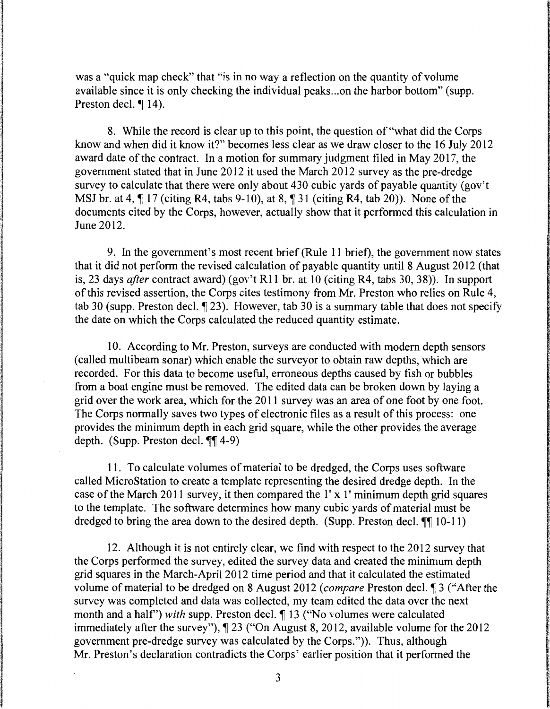was a "quick map check" that "is in no way a reflection on the quantity of volume available since it is only checking the individual peaks ... on the harbor bottom" (supp. Preston decl.  $\P$  14).

8. While the record is clear up to this point, the question of "what did the Corps know and when did it know it?" becomes less clear as we draw closer to the 16 July 2012 award date of the contract. In a motion for summary judgment filed in May 2017, the government stated that in June 2012 it used the March 2012 survey as the pre-dredge survey to calculate that there were only about 430 cubic yards of payable quantity (gov't MSJ br. at 4,  $\P$  17 (citing R4, tabs 9-10), at 8,  $\P$  31 (citing R4, tab 20)). None of the documents cited by the Corps, however, actually show that it performed this calculation in June 2012.

9. In the government's most recent brief (Rule 11 brief), the government now states that it did not perform the revised calculation of payable quantity until 8 August 2012 (that is, 23 days *after* contract award) (gov't Rl 1 br. at 10 (citing R4, tabs 30, 38)). In support of this revised assertion, the Corps cites testimony from Mr. Preston who relies on Rule 4, tab 30 (supp. Preston decl.  $\llbracket 23 \rrbracket$ ). However, tab 30 is a summary table that does not specify the date on which the Corps calculated the reduced quantity estimate.

10. According to Mr. Preston, surveys are conducted with modern depth sensors (called multibeam sonar) which enable the surveyor to obtain raw depths, which are recorded. For this data to become useful, erroneous depths caused by fish or bubbles from a boat engine must be removed. The edited data can be broken down by laying a grid over the work area, which for the 2011 survey was an area of one foot by one foot. The Corps normally saves two types of electronic files as a result of this process: one provides the minimum depth in each grid square, while the other provides the average depth. (Supp. Preston decl.  $\P\P$ 4-9)

11. To calculate volumes of material to be dredged, the Corps uses software called MicroStation to create a template representing the desired dredge depth. In the case of the March 2011 survey, it then compared the l' x 1' minimum depth grid squares to the template. The software determines how many cubic yards of material must be dredged to bring the area down to the desired depth. (Supp. Preston decl.  $\P$  $[10-11)$ )

12. Although it is not entirely clear, we find with respect to the 2012 survey that the Corps performed the survey, edited the survey data and created the minimum depth grid squares in the March-April 2012 time period and that it calculated the estimated volume of material to be dredged on 8 August 2012 *(compare Preston decl.* 13 ("After the survey was completed and data was collected, my team edited the data over the next month and a half") *with* supp. Preston decl. *[13]* ("No volumes were calculated immediately after the survey"),  $\P$  23 ("On August 8, 2012, available volume for the 2012 government pre-dredge survey was calculated by the Corps.")). Thus, although Mr. Preston's declaration contradicts the Corps' earlier position that it performed the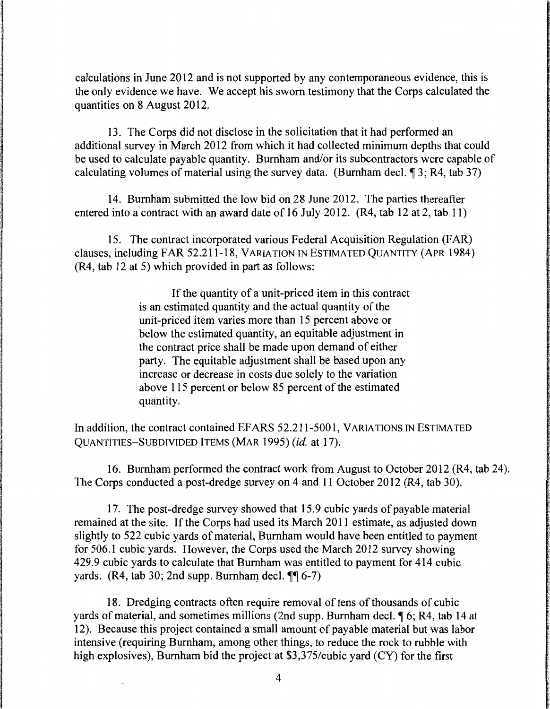calculations in June 2012 and is not supported by any contemporaneous evidence, this is the only evidence we have. We accept his sworn testimony that the Corps calculated the quantities on 8 August 2012.

13. The Corps did not disclose in the solicitation that it had performed an additional survey in March 2012 from which it had collected minimum depths that could be used to calculate payable quantity. Burnham and/or its subcontractors were capable of calculating volumes of material using the survey data. (Burnham decl.  $\sqrt{3}$ ; R4, tab 37)

14. Burnham submitted the low bid on 28 June 2012. The parties thereafter entered into a contract with an award date of 16 July 2012. (R4, tab 12 at 2, tab 11)

15. The contract incorporated various Federal Acquisition Regulation (FAR) clauses, including FAR 52.211-18, v ARIA TION IN ESTIMATED QUANTITY (APR 1984) (R4, tab 12 at 5) which provided in part as follows:

> If the quantity of a unit-priced item in this contract is an estimated quantity and the actual quantity of the unit-priced item varies more than 15 percent above or below the estimated quantity, an equitable adjustment in the contract price shall be made upon demand of either party. The equitable adjustment shall be based upon any increase or decrease in costs due solely to the variation above 115 percent or below 85 percent of the estimated quantity.

In addition, the contract contained EFARS 52.211-5001, VARIATIONS IN ESTIMATED QUANTITIES-SUBDIVIDED ITEMS (MAR 1995) *(id.* at 17).

16. Burnham performed the contract work from August to October 2012 (R4, tab 24). The Corps conducted a post-dredge survey on 4 and 11 October 2012 (R4, tab 30).

17. The post-dredge survey showed that 15.9 cubic yards of payable material remained at the site. If the Corps had used its March 2011 estimate, as adjusted down slightly to 522 cubic yards of material, Burnham would have been entitled to payment for 506.1 cubic yards. However, the Corps used the March 2012 survey showing 429.9 cubic yards to calculate that Burnham was entitled to payment for 414 cubic yards. (R4, tab 30; 2nd supp. Burnham decl.  $\P\P$  6-7)

18. Dredging contracts often require removal of tens of thousands of cubic yards of material, and sometimes millions (2nd supp. Burnham decl.  $\sqrt{9}$  6; R4, tab 14 at 12). Because this project contained a small amount of payable material but was labor intensive (requiring Burnham, among other things, to reduce the rock to rubble with high explosives), Burnham bid the project at \$3,375/cubic yard (CY) for the first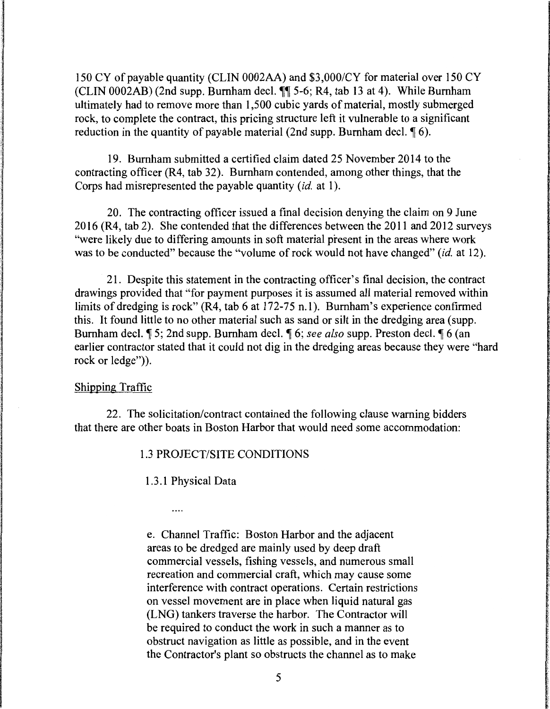150 CY of payable quantity (CLIN 0002AA) and \$3,000/CY for material over 150 CY (CLIN 0002AB) (2nd supp. Burnham decl.  $\P\P$  5-6; R4, tab 13 at 4). While Burnham ultimately had to remove more than 1,500 cubic yards of material, mostly submerged rock, to complete the contract, this pricing structure left it vulnerable to a significant reduction in the quantity of payable material (2nd supp. Burnham decl.  $\lceil \phi \rceil$  6).

19. Burnham submitted a certified claim dated 25 November 2014 to the contracting officer (R4, tab 32). Burnham contended, among other things, that the Corps had misrepresented the payable quantity (id. at 1).

20. The contracting officer issued a final decision denying the claim on 9 June 2016 (R4, tab 2). She contended that the differences between the 2011 and 2012 surveys "were likely due to differing amounts in soft material present in the areas where work was to be conducted" because the "volume of rock would not have changed" *(id.* at 12).

21. Despite this statement in the contracting officer's final decision, the contract drawings provided that "for payment purposes it is assumed all material removed within limits of dredging is rock" (R4, tab 6 at 172-75 n.1). Burnham's experience confirmed this. It found little to no other material such as sand or silt in the dredging area (supp. Burnham decl.  $\sqrt{ }$  5; 2nd supp. Burnham decl.  $\sqrt{ }$  6; *see also* supp. Preston decl.  $\sqrt{ }$  6 (an earlier contractor stated that it could not dig in the dredging areas because they were "hard rock or ledge")).

### Shipping Traffic

22. The solicitation/contract contained the following clause warning bidders that there are other boats in Boston Harbor that would need some accommodation:

1.3 PROJECT/SITE CONDITIONS

1.3 .1 Physical Data

 $\cdots$ 

e. Channel Traffic: Boston Harbor and the adjacent areas to be dredged are mainly used by deep draft commercial vessels, fishing vessels, and numerous small recreation and commercial craft, which may cause some interference with contract operations. Certain restrictions on vessel movement are in place when liquid natural gas (LNG) tankers traverse the harbor. The Contractor will be required to conduct the work in such a manner as to obstruct navigation as little as possible, and in the event the Contractor's plant so obstructs the channel as to make 5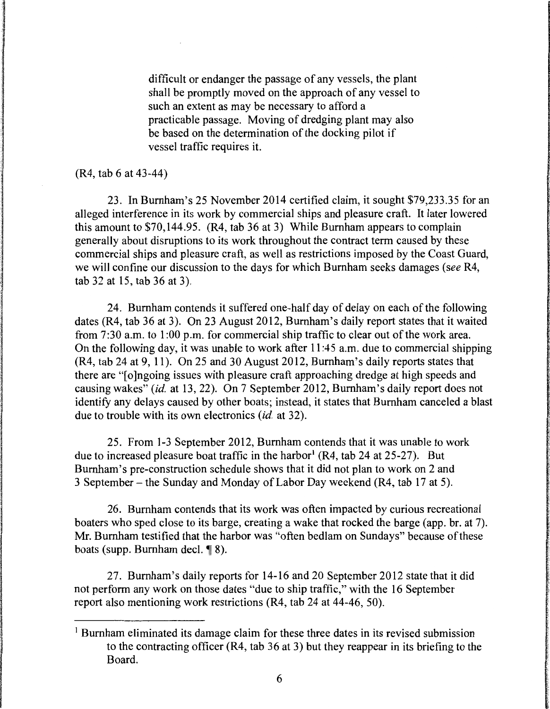difficult or endanger the passage of any vessels, the plant shall be promptly moved on the approach of any vessel to such an extent as may be necessary to afford a practicable passage. Moving of dredging plant may also be based on the determination of the docking pilot if vessel traffic requires it.

#### (R4, tab 6 at 43-44)

23. In Burnham's 25 November 2014 certified claim, it sought \$79,233.35 for an alleged interference in its work by commercial ships and pleasure craft. It later lowered this amount to \$70,144.95. (R4, tab 36 at 3) While Burnham appears to complain generally about disruptions to its work throughout the contract term caused by these commercial ships and pleasure craft, as well as restrictions imposed by the Coast Guard, we will confine our discussion to the days for which Burnham seeks damages (see R4, tab 32 at 15, tab 36 at 3).

24. Burnham contends it suffered one-half day of delay on each of the following dates (R4, tab 36 at 3). On 23 August 2012, Burnham's daily report states that it waited from 7:30 a.m. to 1:00 p.m. for commercial ship traffic to clear out of the work area. On the following day, it was unable to work after 11 :45 a.m. due to commercial shipping (R4, tab 24 at 9, 11). On 25 and 30 August 2012, Burnham's daily reports states that there are "[o]ngoing issues with pleasure craft approaching dredge at high speeds and causing wakes" *(id.* at 13, 22). On 7 September 2012, Burnham's daily report does not identify any delays caused by other boats; instead, it states that Burnham canceled a blast due to trouble with its own electronics *(id.* at 32).

25. From 1-3 September 2012, Burnham contends that it was unable to work due to increased pleasure boat traffic in the harbor<sup>1</sup> (R4, tab 24 at 25-27). But Burnham's pre-construction schedule shows that it did not plan to work on 2 and 3 September - the Sunday and Monday of Labor Day weekend (R4, tab 17 at 5).

26. Burnham contends that its work was often impacted by curious recreational boaters who sped close to its barge, creating a wake that rocked the barge (app. br. at 7). Mr. Burnham testified that the harbor was "often bedlam on Sundays" because of these boats (supp. Burnham decl.  $\P$  8).

27. Burnham's daily reports for 14-16 and 20 September 2012 state that it did not perform any work on those dates "due to ship traffic," with the 16 September report also mentioning work restrictions (R4, tab 24 at 44-46, 50).

<sup>&</sup>lt;sup>1</sup> Burnham eliminated its damage claim for these three dates in its revised submission to the contracting officer (R4, tab 36 at 3) but they reappear in its briefing to the Board.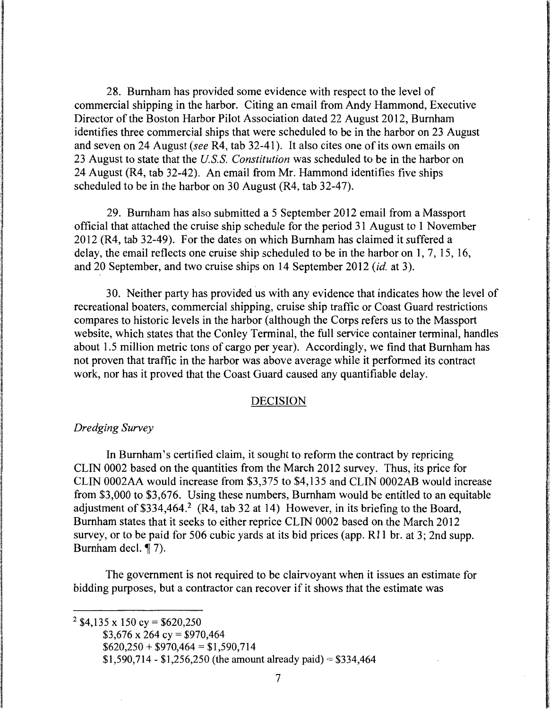28. Burnham has provided some evidence with respect to the level of commercial shipping in the harbor. Citing an email from Andy Hammond, Executive Director of the Boston Harbor Pilot Association dated 22 August 2012, Burnham identifies three commercial ships that were scheduled to be in the harbor on 23 August and seven on 24 August *(see* R4, tab 32-41 ). It also cites one of its own emails on 23 August to state that the *US.S. Constitution* was scheduled to be in the harbor on 24 August (R4, tab 32-42). An email from Mr. Hammond identifies five ships scheduled to be in the harbor on 30 August (R4, tab 32-47).

29. Burnham has also submitted a 5 September 2012 email from a Massport official that attached the cruise ship schedule for the period 31 August to 1 November 2012 (R4, tab 32-49). For the dates on which Burnham has claimed it suffered a delay, the email reflects one cruise ship scheduled to be in the harbor on 1, 7, 15, 16, and 20 September, and two cruise ships on 14 September 2012 *(id.* at 3 ).

30. Neither party has provided us with any evidence that indicates how the level of recreational boaters, commercial shipping, cruise ship traffic or Coast Guard restrictions compares to historic levels in the harbor (although the Corps refers us to the Massport website, which states that the Conley Terminal, the full service container terminal, handles about 1.5 million metric tons of cargo per year). Accordingly, we find that Burnham has not proven that traffic in the harbor was above average while it performed its contract work, nor has it proved that the Coast Guard caused any quantifiable delay.

### DECISION

### *Dredging Survey*

In Burnham's certified claim, it sought to reform the contract by repricing CLIN 0002 based on the quantities from the March 2012 survey. Thus, its price for CLIN 0002AA would increase from \$3,375 to \$4,135 and CLIN 0002AB would increase from \$3,000 to \$3,676. Using these numbers, Burnham would be entitled to an equitable adjustment of  $$334,464$ .<sup>2</sup> (R4, tab 32 at 14) However, in its briefing to the Board, Burnham states that it seeks to either reprice CLIN 0002 based on the March 2012 survey, or to be paid for 506 cubic yards at its bid prices (app. R11 br. at 3; 2nd supp. Burnham decl. ¶ 7).

The government is not required to be clairvoyant when it issues an estimate for bidding purposes, but a contractor can recover if it shows that the estimate was

<sup>2</sup> \$4,135 x 150 cy = \$620,250

 $$620,250 + $970,464 = $1,590,714$ 

 $$1,590,714 - $1,256,250$  (the amount already paid) = \$334,464

 $$3,676 \times 264$  cy = \$970,464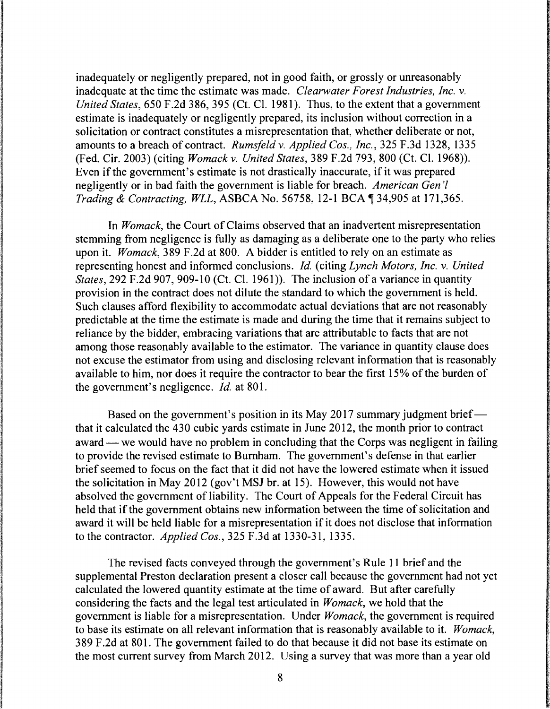inadequately or negligently prepared, not in good faith, or grossly or unreasonably inadequate at the time the estimate was made. *Clearwater Forest Industries, Inc.* v. *United States,* 650 F.2d 386, 395 (Ct. Cl. 1981). Thus, to the extent that a government estimate is inadequately or negligently prepared, its inclusion without correction in a solicitation or contract constitutes a misrepresentation that, whether deliberate or not, amounts to a breach of contract. *Rumsfeld* v. *Applied Cos., Inc.,* 325 F.3d 1328, 1335 (Fed. Cir. 2003) (citing *Womackv. United States,* 389 F.2d 793, 800 (Ct. Cl. 1968)). Even if the government's estimate is not drastically inaccurate, if it was prepared negligently or in bad faith the government is liable for breach. *American Gen 'l Trading & Contracting, WLL, ASBCA No.* 56758, 12-1 BCA ¶ 34,905 at 171,365.

In *Womack,* the Court of Claims observed that an inadvertent misrepresentation stemming from negligence is fully as damaging as a deliberate one to the party who relies upon it. *Womack,* 389 F.2d at 800. A bidder is entitled to rely on an estimate as representing honest and informed conclusions. *Id.* (citing *Lynch Motors, Inc.* v. *United States,* 292 F.2d 907, 909-10 (Ct. Cl. 1961)). The inclusion of a variance in quantity provision in the contract does not dilute the standard to which the government is held. Such clauses afford flexibility to accommodate actual deviations that are not reasonably predictable at the time the estimate is made and during the time that it remains subject to reliance by the bidder, embracing variations that are attributable to facts that are not among those reasonably available to the estimator. The variance in quantity clause does not excuse the estimator from using and disclosing relevant information that is reasonably available to him, nor does it require the contractor to bear the first 15% of the burden of the government's negligence. *Id.* at 801.

Based on the government's position in its May 2017 summary judgment brief that it calculated the 430 cubic yards estimate in June 2012, the month prior to contract award — we would have no problem in concluding that the Corps was negligent in failing to provide the revised estimate to Burnham. The government's defense in that earlier brief seemed to focus on the fact that it did not have the lowered estimate when it issued the solicitation in May 2012 (gov't MSJ br. at 15). However, this would not have absolved the government of liability. The Court of Appeals for the Federal Circuit has held that if the government obtains new information between the time of solicitation and award it will be held liable for a misrepresentation if it does not disclose that information to the contractor. *Applied Cos.,* 325 F.3d at 1330-31, 1335.

The revised facts conveyed through the government's Rule 11 brief and the supplemental Preston declaration present a closer call because the government had not yet calculated the lowered quantity estimate at the time of award. But after carefully considering the facts and the legal test articulated in *Womack,* we hold that the government is liable for a misrepresentation. Under *Womack,* the government is required to base its estimate on all relevant information that is reasonably available to it. *Womack,*  3 89 F .2d at 801. The government failed to do that because it did not base its estimate on the most current survey from March 2012. Using a survey that was more than a year old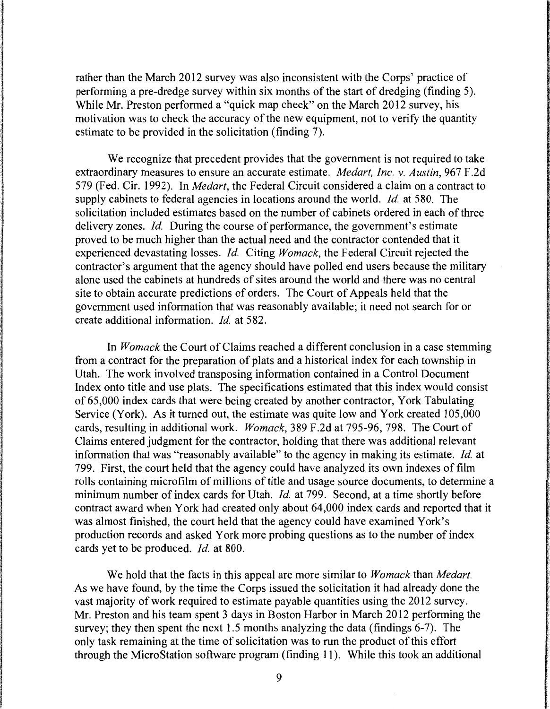rather than the March 2012 survey was also inconsistent with the Corps' practice of performing a pre-dredge survey within six months of the start of dredging (finding 5). While Mr. Preston performed a "quick map check" on the March 2012 survey, his motivation was to check the accuracy of the new equipment, not to verify the quantity estimate to be provided in the solicitation (finding 7).

We recognize that precedent provides that the government is not required to take extraordinary measures to ensure an accurate estimate. *Medart, Inc. v. Austin,* 967 F.2d 579 (Fed. Cir. 1992). In *Medart,* the Federal Circuit considered a claim on a contract to supply cabinets to federal agencies in locations around the world. *Id.* at 580. The solicitation included estimates based on the number of cabinets ordered in each of three delivery zones. *Id.* During the course of performance, the government's estimate proved to be much higher than the actual need and the contractor contended that it experienced devastating losses. *Id.* Citing *Womack,* the Federal Circuit rejected the contractor's argument that the agency should have polled end users because the military alone used the cabinets at hundreds of sites around the world and there was no central site to obtain accurate predictions of orders. The Court of Appeals held that the government used information that was reasonably available; it need not search for or create additional information. *Id.* at 582.

In *Womack* the Court of Claims reached a different conclusion in a case stemming from a contract for the preparation of plats and a historical index for each township in Utah. The work involved transposing information contained in a Control Document Index onto title and use plats. The specifications estimated that this index would consist of 65,000 index cards that were being created by another contractor, York Tabulating Service (York). As it turned out, the estimate was quite low and York created 105,000 cards, resulting in additional work. *Womack,* 389 F.2d at 795-96, 798. The Court of Claims entered judgment for the contractor, holding that there was additional relevant information that was "reasonably available" to the agency in making its estimate. *Id.* at 799. First, the court held that the agency could have analyzed its own indexes of film rolls containing microfilm of millions of title and usage source documents, to determine a minimum number of index cards for Utah. *Id.* at 799. Second, at a time shortly before contract award when York had created only about 64,000 index cards and reported that it was almost finished, the court held that the agency could have examined York's production records and asked York more probing questions as to the number of index cards yet to be produced. *Id.* at 800.

We hold that the facts in this appeal are more similar to *Womack* than *Medart.*  As we have found, by the time the Corps issued the solicitation it had already done the vast majority of work required to estimate payable quantities using the 2012 survey. Mr. Preston and his team spent 3 days in Boston Harbor in March 2012 performing the survey; they then spent the next 1.5 months analyzing the data (findings 6-7). The only task remaining at the time of solicitation was to run the product of this effort through the MicroStation software program (finding 11). While this took an additional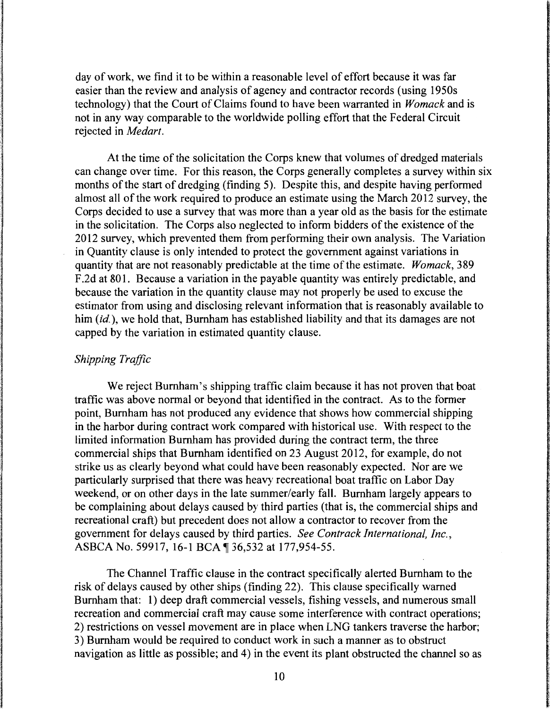day of work, we find it to be within a reasonable level of effort because it was far easier than the review and analysis of agency and contractor records (using 1950s technology) that the Court of Claims found to have been warranted in *Womack* and is not in any way comparable to the worldwide polling effort that the Federal Circuit rejected in *Medart.* 

At the time of the solicitation the Corps knew that volumes of dredged materials can change over time. For this reason, the Corps generally completes a survey within six months of the start of dredging (finding 5). Despite this, and despite having performed almost all of the work required to produce an estimate using the March 2012 survey, the Corps decided to use a survey that was more than a year old as the basis for the estimate in the solicitation. The Corps also neglected to inform bidders of the existence of the 2012 survey, which prevented them from performing their own analysis. The Variation in Quantity clause is only intended to protect the government against variations in quantity that are not reasonably predictable at the time of the estimate. *Womack,* 389 F .2d at 801. Because a variation in the payable quantity was entirely predictable, and because the variation in the quantity clause may not properly be used to excuse the estimator from using and disclosing relevant information that is reasonably available to him *(id.)*, we hold that, Burnham has established liability and that its damages are not capped by the variation in estimated quantity clause.

### *Shipping Traffic*

We reject Burnham's shipping traffic claim because it has not proven that boat traffic was above normal or beyond that identified in the contract. As to the former point, Burnham has not produced any evidence that shows how commercial shipping in the harbor during contract work compared with historical use. With respect to the limited information Burnham has provided during the contract term, the three commercial ships that Burnham identified on 23 August 2012, for example, do not strike us as clearly beyond what could have been reasonably expected. Nor are we particularly surprised that there was heavy recreational boat traffic on Labor Day weekend, or on other days in the late summer/early fall. Burnham largely appears to be complaining about delays caused by third parties (that is, the commercial ships and recreational craft) but precedent does not allow a contractor to recover from the government for delays caused by third parties. *See Contrack International, Inc.,*  ASBCA No. 59917, 16-1 BCA | 36,532 at 177,954-55.

The Channel Traffic clause in the contract specifically alerted Burnham to the risk of delays caused by other ships (finding 22). This clause specifically warned Burnham that: 1) deep draft commercial vessels, fishing vessels, and numerous small recreation and commercial craft may cause some interference with contract operations; 2) restrictions on vessel movement are in place when LNG tankers traverse the harbor; 3) Burnham would be required to conduct work in such a manner as to obstruct navigation as little as possible; and 4) in the event its plant obstructed the channel so as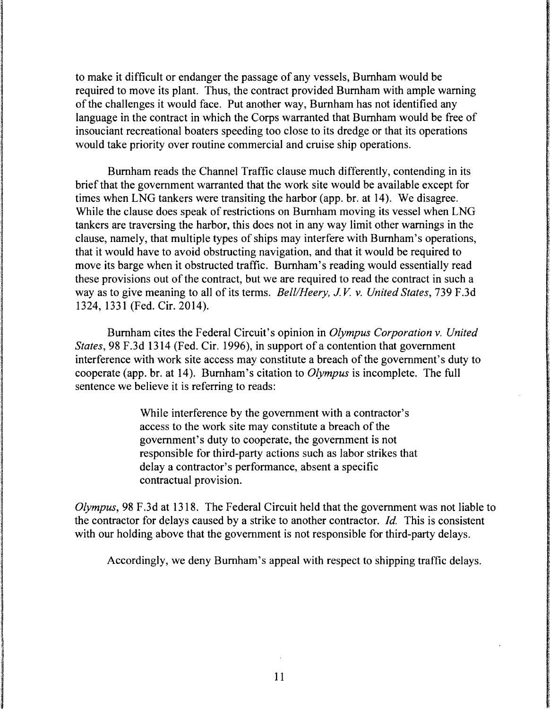to make it difficult or endanger the passage of any vessels, Burnham would be required to move its plant. Thus, the contract provided Burnham with ample warning of the challenges it would face. Put another way, Burnham has not identified any language in the contract in which the Corps warranted that Burnham would be free of insouciant recreational boaters speeding too close to its dredge or that its operations would take priority over routine commercial and cruise ship operations.

Burnham reads the Channel Traffic clause much differently, contending in its brief that the government warranted that the work site would be available except for times when LNG tankers were transiting the harbor (app. br. at 14). We disagree. While the clause does speak of restrictions on Burnham moving its vessel when LNG tankers are traversing the harbor, this does not in any way limit other warnings in the clause, namely, that multiple types of ships may interfere with Burnham's operations, that it would have to avoid obstructing navigation, and that it would be required to move its barge when it obstructed traffic. Burnham's reading would essentially read these provisions out of the contract, but we are required to read the contract in such a way as to give meaning to all of its terms. *Bell/Heery, J.V. v. United States*, 739 F.3d 1324, 1331 (Fed. Cir. 2014).

Burnham cites the Federal Circuit's opinion in *Olympus Corporation v. United States,* 98 F.3d 1314 (Fed. Cir. 1996), in support of a contention that government interference with work site access may constitute a breach of the government's duty to cooperate (app. br. at 14). Burnham's citation to *Olympus* is incomplete. The full sentence we believe it is referring to reads:

> While interference by the government with a contractor's access to the work site may constitute a breach of the government's duty to cooperate, the government is not responsible for third-party actions such as labor strikes that delay a contractor's performance, absent a specific contractual provision.

*Olympus,* 98 F.3d at 1318. The Federal Circuit held that the government was not liable to the contractor for delays caused by a strike to another contractor. *Id.* This is consistent with our holding above that the government is not responsible for third-party delays.

Accordingly, we deny Burnham's appeal with respect to shipping traffic delays.